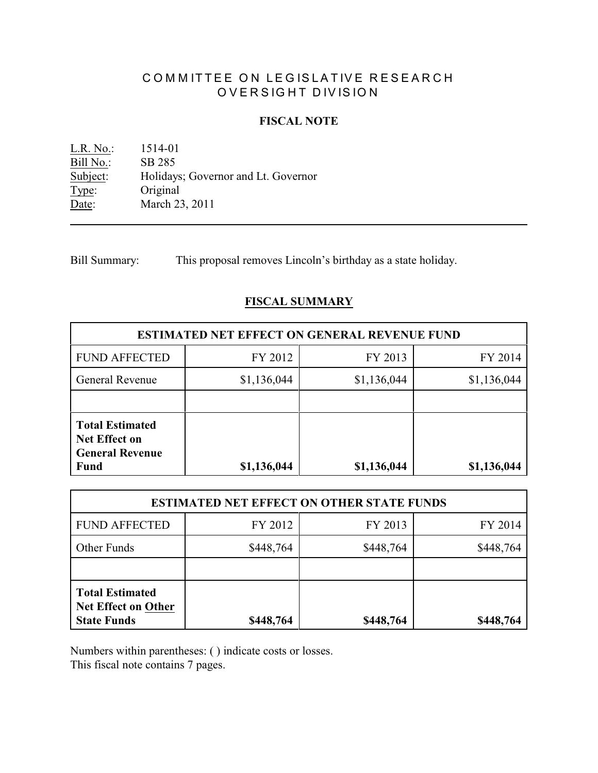# COMMITTEE ON LEGISLATIVE RESEARCH OVERSIGHT DIVISION

### **FISCAL NOTE**

<u>L.R. No.:</u> 1514-01<br>Bill No.: SB 285 Bill No.:<br>Subject: Holidays; Governor and Lt. Governor Type: Original Date: March 23, 2011

Bill Summary: This proposal removes Lincoln's birthday as a state holiday.

### **FISCAL SUMMARY**

| <b>ESTIMATED NET EFFECT ON GENERAL REVENUE FUND</b>                                     |             |             |             |  |  |
|-----------------------------------------------------------------------------------------|-------------|-------------|-------------|--|--|
| <b>FUND AFFECTED</b>                                                                    | FY 2012     | FY 2013     | FY 2014     |  |  |
| General Revenue                                                                         | \$1,136,044 | \$1,136,044 | \$1,136,044 |  |  |
|                                                                                         |             |             |             |  |  |
| <b>Total Estimated</b><br><b>Net Effect on</b><br><b>General Revenue</b><br><b>Fund</b> | \$1,136,044 | \$1,136,044 | \$1,136,044 |  |  |

| <b>ESTIMATED NET EFFECT ON OTHER STATE FUNDS</b>                           |           |           |           |  |
|----------------------------------------------------------------------------|-----------|-----------|-----------|--|
| <b>FUND AFFECTED</b>                                                       | FY 2012   | FY 2013   | FY 2014   |  |
| Other Funds                                                                | \$448,764 | \$448,764 | \$448,764 |  |
|                                                                            |           |           |           |  |
| <b>Total Estimated</b><br><b>Net Effect on Other</b><br><b>State Funds</b> | \$448,764 | \$448,764 | \$448,764 |  |

Numbers within parentheses: ( ) indicate costs or losses.

This fiscal note contains 7 pages.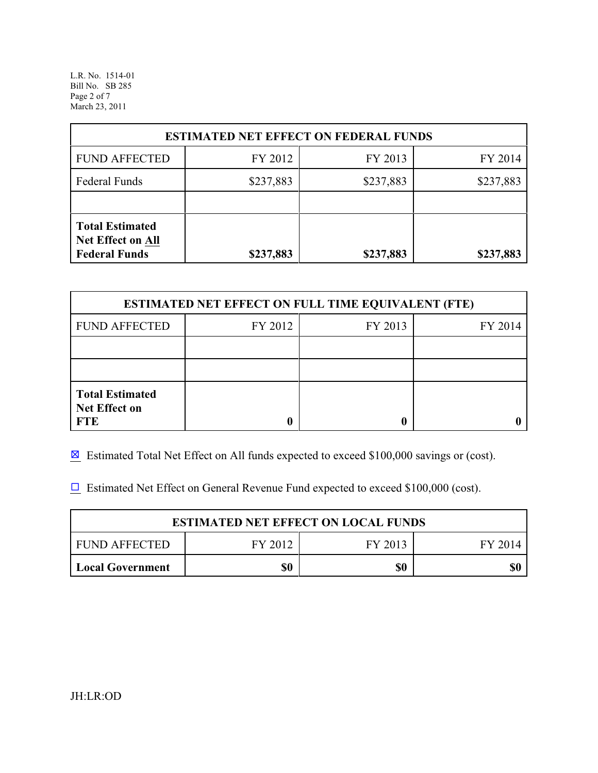L.R. No. 1514-01 Bill No. SB 285 Page 2 of 7 March 23, 2011

| <b>ESTIMATED NET EFFECT ON FEDERAL FUNDS</b>                               |           |           |           |  |  |
|----------------------------------------------------------------------------|-----------|-----------|-----------|--|--|
| <b>FUND AFFECTED</b>                                                       | FY 2012   | FY 2013   | FY 2014   |  |  |
| <b>Federal Funds</b>                                                       | \$237,883 | \$237,883 | \$237,883 |  |  |
|                                                                            |           |           |           |  |  |
| <b>Total Estimated</b><br><b>Net Effect on All</b><br><b>Federal Funds</b> | \$237,883 | \$237,883 | \$237,883 |  |  |

| <b>ESTIMATED NET EFFECT ON FULL TIME EQUIVALENT (FTE)</b>    |         |         |         |  |
|--------------------------------------------------------------|---------|---------|---------|--|
| <b>FUND AFFECTED</b>                                         | FY 2012 | FY 2013 | FY 2014 |  |
|                                                              |         |         |         |  |
|                                                              |         |         |         |  |
| <b>Total Estimated</b><br><b>Net Effect on</b><br><b>FTE</b> |         |         |         |  |

 $\boxtimes$  Estimated Total Net Effect on All funds expected to exceed \$100,000 savings or (cost).

 $\Box$  Estimated Net Effect on General Revenue Fund expected to exceed \$100,000 (cost).

| <b>ESTIMATED NET EFFECT ON LOCAL FUNDS</b>       |     |     |  |  |  |
|--------------------------------------------------|-----|-----|--|--|--|
| I FUND AFFECTED<br>FY 2012<br>FY 2013<br>FY 2014 |     |     |  |  |  |
| Local Government                                 | \$0 | \$0 |  |  |  |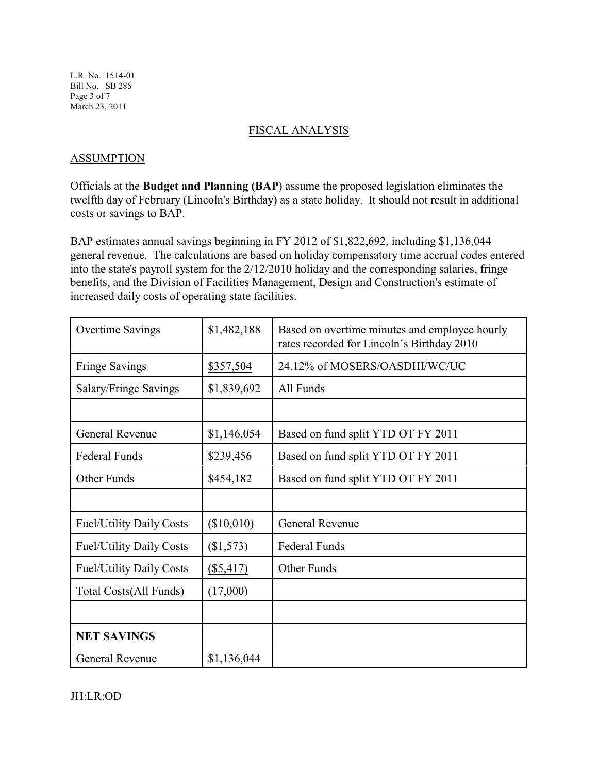L.R. No. 1514-01 Bill No. SB 285 Page 3 of 7 March 23, 2011

### FISCAL ANALYSIS

### ASSUMPTION

Officials at the **Budget and Planning (BAP**) assume the proposed legislation eliminates the twelfth day of February (Lincoln's Birthday) as a state holiday. It should not result in additional costs or savings to BAP.

BAP estimates annual savings beginning in FY 2012 of \$1,822,692, including \$1,136,044 general revenue. The calculations are based on holiday compensatory time accrual codes entered into the state's payroll system for the 2/12/2010 holiday and the corresponding salaries, fringe benefits, and the Division of Facilities Management, Design and Construction's estimate of increased daily costs of operating state facilities.

| <b>Overtime Savings</b>         | \$1,482,188 | Based on overtime minutes and employee hourly<br>rates recorded for Lincoln's Birthday 2010 |
|---------------------------------|-------------|---------------------------------------------------------------------------------------------|
| <b>Fringe Savings</b>           | \$357,504   | 24.12% of MOSERS/OASDHI/WC/UC                                                               |
| Salary/Fringe Savings           | \$1,839,692 | All Funds                                                                                   |
|                                 |             |                                                                                             |
| General Revenue                 | \$1,146,054 | Based on fund split YTD OT FY 2011                                                          |
| <b>Federal Funds</b>            | \$239,456   | Based on fund split YTD OT FY 2011                                                          |
| Other Funds                     | \$454,182   | Based on fund split YTD OT FY 2011                                                          |
|                                 |             |                                                                                             |
| <b>Fuel/Utility Daily Costs</b> | (\$10,010)  | General Revenue                                                                             |
| <b>Fuel/Utility Daily Costs</b> | (\$1,573)   | <b>Federal Funds</b>                                                                        |
| <b>Fuel/Utility Daily Costs</b> | $(\$5,417)$ | Other Funds                                                                                 |
| Total Costs(All Funds)          | (17,000)    |                                                                                             |
|                                 |             |                                                                                             |
| <b>NET SAVINGS</b>              |             |                                                                                             |
| <b>General Revenue</b>          | \$1,136,044 |                                                                                             |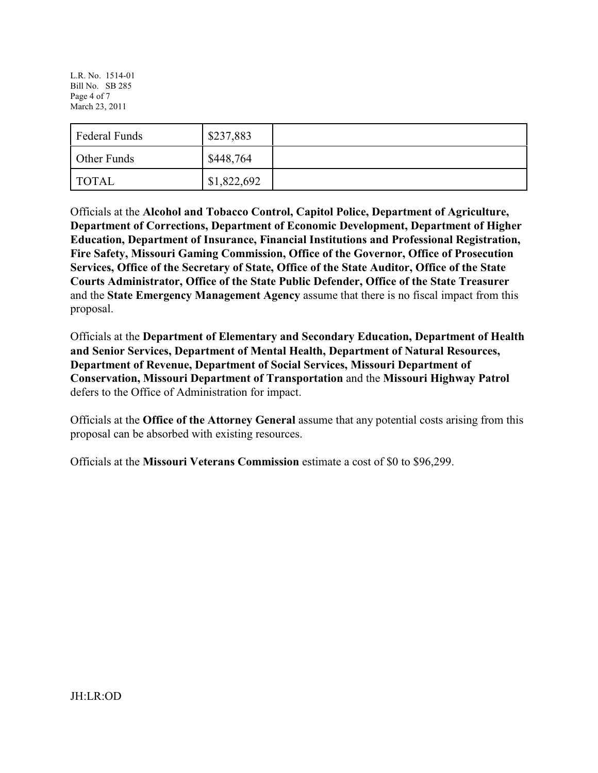L.R. No. 1514-01 Bill No. SB 285 Page 4 of 7 March 23, 2011

| <b>Federal Funds</b> | \$237,883   |  |
|----------------------|-------------|--|
| Other Funds          | \$448,764   |  |
| <b>TOTAL</b>         | \$1,822,692 |  |

Officials at the **Alcohol and Tobacco Control, Capitol Police, Department of Agriculture, Department of Corrections, Department of Economic Development, Department of Higher Education, Department of Insurance, Financial Institutions and Professional Registration, Fire Safety, Missouri Gaming Commission, Office of the Governor, Office of Prosecution Services, Office of the Secretary of State, Office of the State Auditor, Office of the State Courts Administrator, Office of the State Public Defender, Office of the State Treasurer** and the **State Emergency Management Agency** assume that there is no fiscal impact from this proposal.

Officials at the **Department of Elementary and Secondary Education, Department of Health and Senior Services, Department of Mental Health, Department of Natural Resources, Department of Revenue, Department of Social Services, Missouri Department of Conservation, Missouri Department of Transportation** and the **Missouri Highway Patrol** defers to the Office of Administration for impact.

Officials at the **Office of the Attorney General** assume that any potential costs arising from this proposal can be absorbed with existing resources.

Officials at the **Missouri Veterans Commission** estimate a cost of \$0 to \$96,299.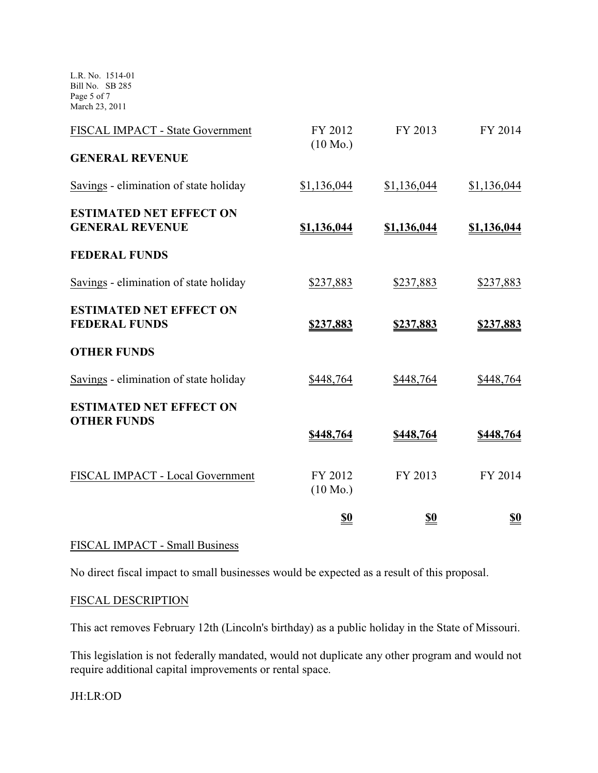L.R. No. 1514-01 Bill No. SB 285 Page 5 of 7 March 23, 2011

| FISCAL IMPACT - State Government                         | FY 2012<br>$(10 \text{ Mo.})$ | FY 2013     | FY 2014     |
|----------------------------------------------------------|-------------------------------|-------------|-------------|
| <b>GENERAL REVENUE</b>                                   |                               |             |             |
| Savings - elimination of state holiday                   | \$1,136,044                   | \$1,136,044 | \$1,136,044 |
| <b>ESTIMATED NET EFFECT ON</b><br><b>GENERAL REVENUE</b> | \$1,136,044                   | \$1,136,044 | \$1,136,044 |
| <b>FEDERAL FUNDS</b>                                     |                               |             |             |
| Savings - elimination of state holiday                   | \$237,883                     | \$237,883   | \$237,883   |
| <b>ESTIMATED NET EFFECT ON</b><br><b>FEDERAL FUNDS</b>   | \$237,883                     | \$237,883   | \$237,883   |
| <b>OTHER FUNDS</b>                                       |                               |             |             |
| Savings - elimination of state holiday                   | \$448,764                     | \$448,764   | \$448,764   |
| <b>ESTIMATED NET EFFECT ON</b><br><b>OTHER FUNDS</b>     |                               |             |             |
|                                                          | \$448,764                     | \$448,764   | \$448,764   |
| FISCAL IMPACT - Local Government                         | FY 2012<br>$(10 \text{ Mo.})$ | FY 2013     | FY 2014     |
|                                                          | <u>\$0</u>                    | <u>\$0</u>  | <u>\$0</u>  |

## FISCAL IMPACT - Small Business

No direct fiscal impact to small businesses would be expected as a result of this proposal.

### FISCAL DESCRIPTION

This act removes February 12th (Lincoln's birthday) as a public holiday in the State of Missouri.

This legislation is not federally mandated, would not duplicate any other program and would not require additional capital improvements or rental space.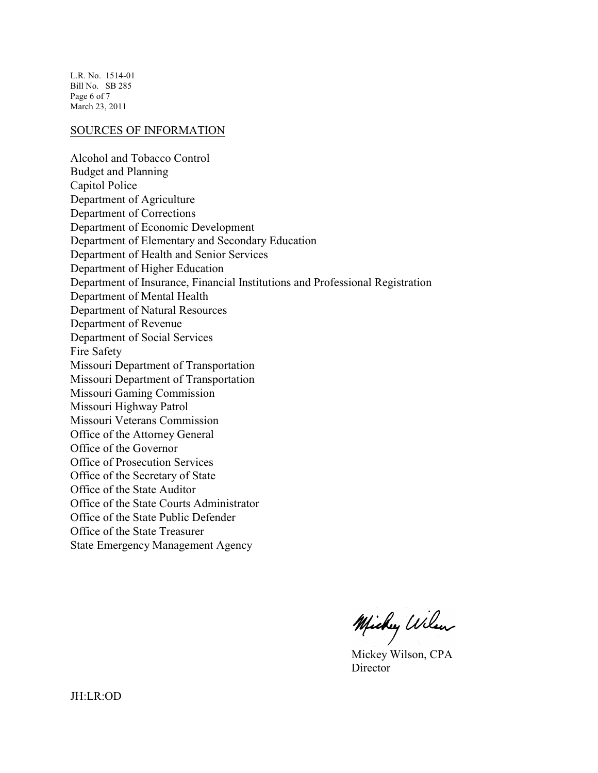L.R. No. 1514-01 Bill No. SB 285 Page 6 of 7 March 23, 2011

#### SOURCES OF INFORMATION

Alcohol and Tobacco Control Budget and Planning Capitol Police Department of Agriculture Department of Corrections Department of Economic Development Department of Elementary and Secondary Education Department of Health and Senior Services Department of Higher Education Department of Insurance, Financial Institutions and Professional Registration Department of Mental Health Department of Natural Resources Department of Revenue Department of Social Services Fire Safety Missouri Department of Transportation Missouri Department of Transportation Missouri Gaming Commission Missouri Highway Patrol Missouri Veterans Commission Office of the Attorney General Office of the Governor Office of Prosecution Services Office of the Secretary of State Office of the State Auditor Office of the State Courts Administrator Office of the State Public Defender Office of the State Treasurer State Emergency Management Agency

Michy Wilen

Mickey Wilson, CPA **Director**